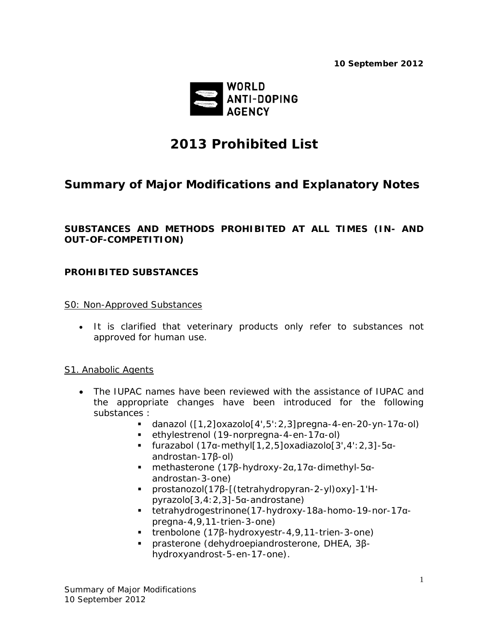*10 September 2012*



# *2013 Prohibited List*

## *Summary of Major Modifications and Explanatory Notes*

## **SUBSTANCES AND METHODS PROHIBITED AT ALL TIMES (IN- AND OUT-OF-COMPETITION)**

## **PROHIBITED SUBSTANCES**

## S0: Non-Approved Substances

• It is clarified that veterinary products only refer to substances not approved for human use.

## S1. Anabolic Agents

- The IUPAC names have been reviewed with the assistance of IUPAC and the appropriate changes have been introduced for the following substances :
	- $-$  danazol ([1,2]oxazolo[4',5':2,3]pregna-4-en-20-yn-17α-ol)
	- ethylestrenol (19-norpregna-4-en-17α-ol)
	- furazabol (17α-methyl[1,2,5]oxadiazolo[3',4':2,3]-5αandrostan-17β-ol)
	- methasterone (17β-hydroxy-2α,17α-dimethyl-5αandrostan-3-one)
	- prostanozol(17β-[(tetrahydropyran-2-yl)oxy]-1'*H*pyrazolo[3,4:2,3]-5α-androstane)
	- tetrahydrogestrinone(17-hydroxy-18a-homo-19-nor-17αpregna-4,9,11-trien-3-one)
	- trenbolone (17β-hydroxyestr-4,9,11-trien-3-one)
	- prasterone (dehydroepiandrosterone, DHEA, 3βhydroxyandrost-5-en-17-one).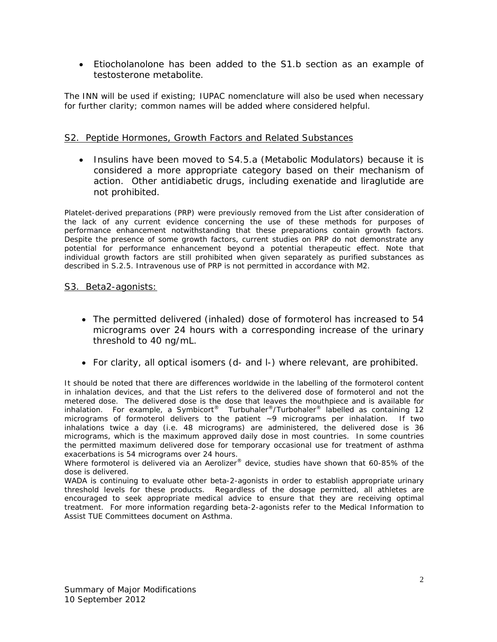• Etiocholanolone has been added to the S1.b section as an example of testosterone metabolite.

*The INN will be used if existing; IUPAC nomenclature will also be used when necessary for further clarity; common names will be added where considered helpful.*

## S2. Peptide Hormones, Growth Factors and Related Substances

• Insulins have been moved to S4.5.a (Metabolic Modulators) because it is considered a more appropriate category based on their mechanism of action. Other antidiabetic drugs, including exenatide and liraglutide are not prohibited.

Platelet-derived preparations (PRP) were previously removed from the List after consideration of *the lack of any current evidence concerning the use of these methods for purposes of performance enhancement notwithstanding that these preparations contain growth factors. Despite the presence of some growth factors, current studies on PRP do not demonstrate any*  potential for performance enhancement beyond a potential therapeutic effect. Note that *individual growth factors are still prohibited when given separately as purified substances as described in S.2.5. Intravenous use of PRP is not permitted in accordance with M2.*

#### S3. Beta2-agonists:

- The permitted delivered (inhaled) dose of formoterol has increased to 54 micrograms over 24 hours with a corresponding increase of the urinary threshold to 40 ng/mL.
- For clarity, all optical isomers (d- and l-) where relevant, are prohibited.

*It should be noted that there are differences worldwide in the labelling of the formoterol content in inhalation devices, and that the List refers to the delivered dose of formoterol and not the metered dose. The delivered dose is the dose that leaves the mouthpiece and is available for inhalation. For example, a Symbicort® Turbuhaler®/Turbohaler® labelled as containing 12 micrograms of formoterol delivers to the patient ~9 micrograms per inhalation. If two inhalations twice a day (i.e. 48 micrograms) are administered, the delivered dose is 36 micrograms, which is the maximum approved daily dose in most countries. In some countries the permitted maximum delivered dose for temporary occasional use for treatment of asthma exacerbations is 54 micrograms over 24 hours.* 

*Where formoterol is delivered via an Aerolizer® device, studies have shown that 60-85% of the dose is delivered.* 

*WADA is continuing to evaluate other beta-2-agonists in order to establish appropriate urinary threshold levels for these products. Regardless of the dosage permitted, all athletes are*  encouraged to seek appropriate medical advice to ensure that they are receiving optimal *treatment. For more information regarding beta-2-agonists refer to the Medical Information to Assist TUE Committees document on Asthma.*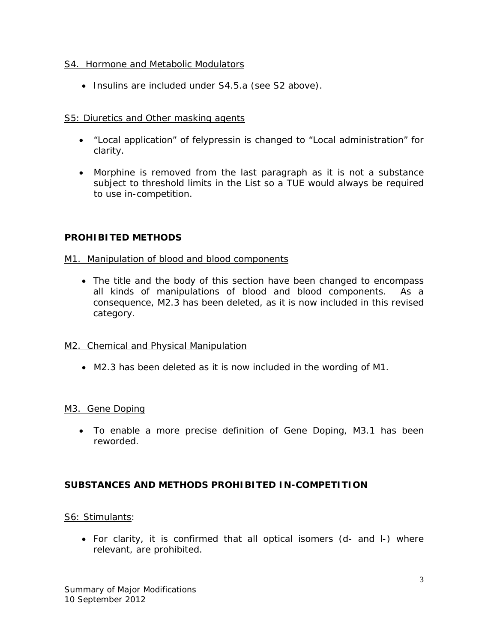## S4. Hormone and Metabolic Modulators

• Insulins are included under S4.5.a (see S2 above).

## S5: Diuretics and Other masking agents

- "Local application" of felypressin is changed to "Local administration" for clarity.
- Morphine is removed from the last paragraph as it is not a substance subject to threshold limits in the List so a TUE would always be required to use *in-competition*.

## **PROHIBITED METHODS**

## M1. Manipulation of blood and blood components

• The title and the body of this section have been changed to encompass all kinds of manipulations of blood and blood components. As a consequence, M2.3 has been deleted, as it is now included in this revised category.

## M2. Chemical and Physical Manipulation

• M2.3 has been deleted as it is now included in the wording of M1.

## M3. Gene Doping

• To enable a more precise definition of Gene Doping, M3.1 has been reworded.

## **SUBSTANCES AND METHODS PROHIBITED IN-COMPETITION**

## S6: Stimulants:

• For clarity, it is confirmed that all optical isomers (*d-* and *l-*) where relevant, are prohibited.